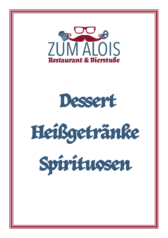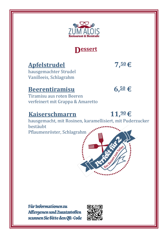

### **Dessert**

### **Apfelstrudel 7,50€**

hausgemachter Strudel Vanilleeis, Schlagrahm

### **Beerentiramisu 6,<sup>50</sup> €**

Tiramisu aus roten Beeren verfeinert mit Grappa & Amaretto

### **Kaiserschmarrn 11,90€**

hausgemacht, mit Rosinen, karamellisiert, mit Puderzucker bestäubt Pflaumenröster, Schlagrahm



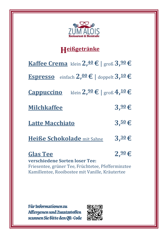

## **Heißgetränke**

**Kaffee Crema** klein**2,40€** | groß **3,90€**

**Espresso** einfach **2,00€** | doppelt**3,10€**

**Cappuccino** klein**2,90€** | groß **4,10€**

**Milchkaffee 3,90€**

**Latte Macchiato 3,50€**

**Heiße Schokolade** mit Sahne **3,30€**

**Glas Tee 2,90€**

**verschiedene Sorten loser Tee:**  Friesentee, grüner Tee, Früchtetee, Pfefferminztee Kamillentee, Rooibostee mit Vanille, Kräutertee

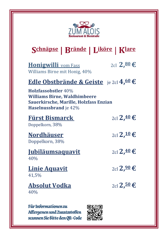

## **Schnäpse | Brände | Liköre** | **Klare**

**Honigwilli**  $\text{vom Fass}$  2cl **2,<sup>80</sup>€** Williams Birne mit Honig, 40%

### **Edle Obstbrände & Geiste** je 2cl **4,60€**

**Holzfassobstler** 40% **Williams Birne, Waldhimbeere Sauerkirsche, Marille, Holzfass Enzian Haselnussbrand** je 42%

| <b>Fürst Bismarck</b><br>Doppelkorn, 38% | 2cl <b>2,40 €</b>                |
|------------------------------------------|----------------------------------|
| <b>Nordhäuser</b><br>Doppelkorn, 38%     | 2cl <b>2, <sup>10</sup> €</b>    |
| <u>Jubiläumsaquavit</u><br>40%           | 2cl <b>2,40 €</b>                |
| <b>Linie Aquavit</b><br>41,5%            | 2cl <b>2,90 €</b>                |
| <b>Absolut Vodka</b><br>40%              | $_{2cl}$ 2, $\frac{50}{5}$ $\in$ |

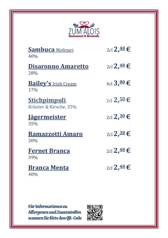

| Sambuca Molinari<br>40%                       | 2cl 2. <sup>40</sup> € |
|-----------------------------------------------|------------------------|
| <b>Disaronno Amaretto</b><br>28%              | 2cl 2. <sup>40</sup> € |
| <b>Bailey's Irish Cream</b><br>17%            | 4cl $3,80$ €           |
| <u>Stichpimpuli</u><br>Kräuter & Kirsche, 35% | 2cl <b>2,50 €</b>      |
| <u>Jägermeister</u><br>35%                    | $_{2cl}$ 2, $30$ €     |
| <b>Ramazzotti Amaro</b><br>30%                | 2cl 2, <sup>30</sup> € |
| <b>Fernet Branca</b><br>39%                   | 2cl <b>2,40 €</b>      |
| <b>Branca Menta</b><br>40%                    | 2cl 2, <sup>40</sup> € |

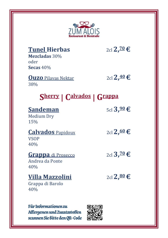

| <b>Tunel Hierbas</b><br>Mezcladas 30%<br>oder<br>Secas $40%$ | 2cl 2, <sup>20</sup> € |
|--------------------------------------------------------------|------------------------|
| <b>Ouzo</b> Pilavas Nektar<br>38%                            | 2cl 2, <sup>40</sup> € |
| Sherry   Calvados   Grappa                                   |                        |
| <b>Sandeman</b><br><b>Medium Dry</b><br>15%                  | 5cl $3,90$ €           |
| <b>Calvados Papidoux</b><br><b>VSOP</b><br>40%               | 2cl <b>2,60 €</b>      |
| <b>Grappa</b> di Prosecco<br>Andrea da Ponte<br>40%          | 2cl 3, <sup>20</sup> € |
| <b>Villa Mazzolini</b><br>Grappa di Barolo<br>40%            | 2cl <b>2,80 €</b>      |

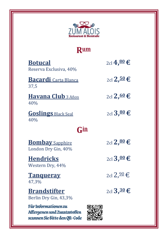

## **Rum**

| <b>Botucal</b><br>Reserva Exclusiva, 40%                                              | 2cl 4,80 €              |
|---------------------------------------------------------------------------------------|-------------------------|
| <b>Bacardi</b> Carta Blanca<br>37,5                                                   | 2cl 2, <sup>50</sup> €  |
| <b>Havana Club</b> 3 Años<br>40%                                                      | 2cl <b>2,60 €</b>       |
| <b>Goslings Black Seal</b><br>40%                                                     | 2cl $3,80$ €            |
| <u>Gin</u>                                                                            |                         |
| <b>Bombay</b> Sapphire<br>London Dry Gin, 40%                                         | 2cl <b>2,80 €</b>       |
| <b>Hendricks</b><br>Western Dry, 44%                                                  | 2cl $3,00$ €            |
| <b>Tanqueray</b><br>47,3%                                                             | 2cl 2, $\frac{90}{5}$ € |
| <b>Brandstifter</b><br>Berlin Dry Gin, 43,3%                                          | 2cl $3,30$ €            |
| Für Informationen zu<br>Affergenen und Zusatzstoffen<br>scannen Sie Bitte den QR-Code |                         |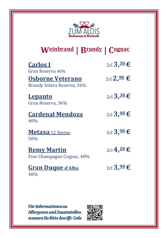

## **Weinbrand | Brandy | Cognac**

| <b>Carlos I</b><br>Gran Reserva 40%                   | 2cl $3,30$ €           |
|-------------------------------------------------------|------------------------|
| <b>Osborne Veterano</b><br>Brandy Solera Reserva, 36% | 2cl 2, <sup>90</sup> € |
| <b>Lepanto</b><br>Gran Reserva, 36%                   | 2cl $3,30$ €           |
| <b>Cardenal Mendoza</b><br>40%                        | 2cl $3,40$ €           |
| <b>Metaxa</b> 12 Sterne<br>50%                        | 2cl $3,90$ €           |
| <b>Remy Martin</b><br>Fine Champagne Cognac, 40%      | 2cl 4, <sup>20</sup> € |
| <b>Gran Duque d'Alba</b><br>40%                       | 2cl $3,90$ €           |

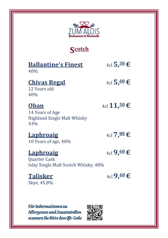

**Scotch**

| <b>Ballantine's Finest</b> |
|----------------------------|
|----------------------------|

40%

#### **Chivas Regal**  $4c \cdot 5, \underline{60} \in \mathbb{C}$

**Ballantine's Finest** 4cl**5,30€**

12 Years old 40%

### **Oban**  $4c1$ **11,50€**

14 Years of Age Highland Single Malt Whisky 43%

## $\text{Laphroaig}$   $4c\sqrt{7}$ ,  $\frac{80}{6}$

10 Years of age, 40%

### $\text{Laphroaig}$   $4c \cdot 9,60 \in \mathbb{C}$

Quarter Cask Islay Single Malt Scotch Whisky, 48%

**Talisker**  ${}_{4\text{cl}}$  **9,** ${}_{4\text{cl}}$  **9,** ${}_{60}$   $\in$ Skye, 45,8%